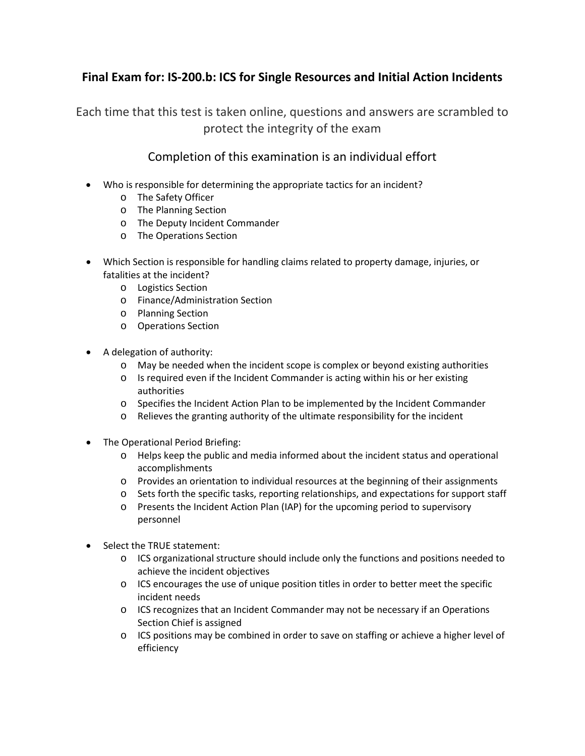## **Final Exam for: IS-200.b: ICS for Single Resources and Initial Action Incidents**

Each time that this test is taken online, questions and answers are scrambled to protect the integrity of the exam

## Completion of this examination is an individual effort

- Who is responsible for determining the appropriate tactics for an incident?
	- o The Safety Officer
	- o The Planning Section
	- o The Deputy Incident Commander
	- o The Operations Section
- Which Section is responsible for handling claims related to property damage, injuries, or fatalities at the incident?
	- o Logistics Section
	- o Finance/Administration Section
	- o Planning Section
	- o Operations Section
- A delegation of authority:
	- o May be needed when the incident scope is complex or beyond existing authorities
	- o Is required even if the Incident Commander is acting within his or her existing authorities
	- o Specifies the Incident Action Plan to be implemented by the Incident Commander
	- o Relieves the granting authority of the ultimate responsibility for the incident
- The Operational Period Briefing:
	- o Helps keep the public and media informed about the incident status and operational accomplishments
	- o Provides an orientation to individual resources at the beginning of their assignments
	- o Sets forth the specific tasks, reporting relationships, and expectations for support staff
	- o Presents the Incident Action Plan (IAP) for the upcoming period to supervisory personnel
- Select the TRUE statement:
	- $\circ$  ICS organizational structure should include only the functions and positions needed to achieve the incident objectives
	- o ICS encourages the use of unique position titles in order to better meet the specific incident needs
	- o ICS recognizes that an Incident Commander may not be necessary if an Operations Section Chief is assigned
	- o ICS positions may be combined in order to save on staffing or achieve a higher level of efficiency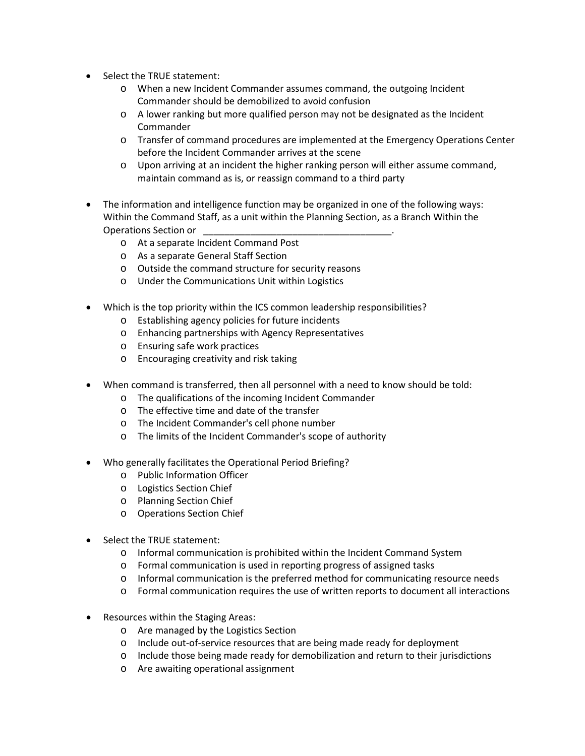- Select the TRUE statement:
	- o When a new Incident Commander assumes command, the outgoing Incident Commander should be demobilized to avoid confusion
	- $\circ$  A lower ranking but more qualified person may not be designated as the Incident Commander
	- o Transfer of command procedures are implemented at the Emergency Operations Center before the Incident Commander arrives at the scene
	- $\circ$  Upon arriving at an incident the higher ranking person will either assume command, maintain command as is, or reassign command to a third party
- The information and intelligence function may be organized in one of the following ways: Within the Command Staff, as a unit within the Planning Section, as a Branch Within the Operations Section or
	- o At a separate Incident Command Post
	- o As a separate General Staff Section
	- o Outside the command structure for security reasons
	- o Under the Communications Unit within Logistics
- Which is the top priority within the ICS common leadership responsibilities?
	- o Establishing agency policies for future incidents
	- o Enhancing partnerships with Agency Representatives
	- o Ensuring safe work practices
	- o Encouraging creativity and risk taking
- When command is transferred, then all personnel with a need to know should be told:
	- o The qualifications of the incoming Incident Commander
	- o The effective time and date of the transfer
	- o The Incident Commander's cell phone number
	- o The limits of the Incident Commander's scope of authority
- Who generally facilitates the Operational Period Briefing?
	- o Public Information Officer
	- o Logistics Section Chief
	- o Planning Section Chief
	- o Operations Section Chief
- Select the TRUE statement:
	- o Informal communication is prohibited within the Incident Command System
	- o Formal communication is used in reporting progress of assigned tasks
	- o Informal communication is the preferred method for communicating resource needs
	- o Formal communication requires the use of written reports to document all interactions
- Resources within the Staging Areas:
	- o Are managed by the Logistics Section
	- o Include out-of-service resources that are being made ready for deployment
	- o Include those being made ready for demobilization and return to their jurisdictions
	- o Are awaiting operational assignment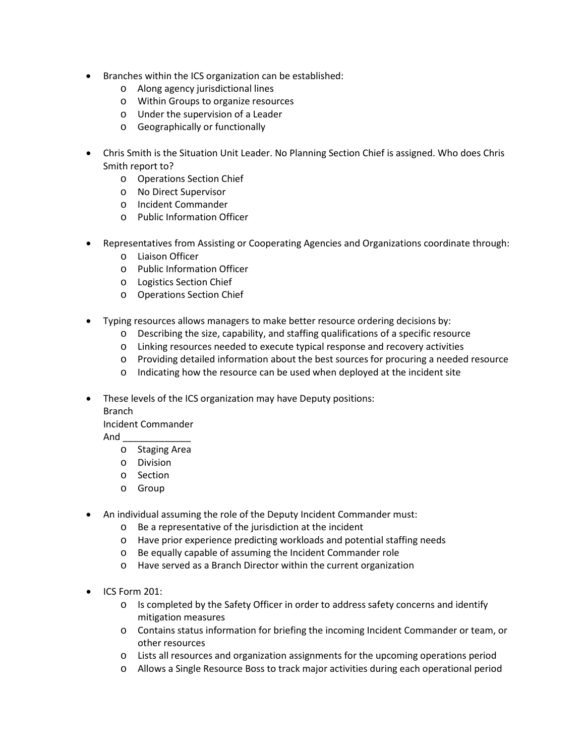- Branches within the ICS organization can be established:
	- o Along agency jurisdictional lines
	- o Within Groups to organize resources
	- o Under the supervision of a Leader
	- o Geographically or functionally
- Chris Smith is the Situation Unit Leader. No Planning Section Chief is assigned. Who does Chris Smith report to?
	- o Operations Section Chief
	- o No Direct Supervisor
	- o Incident Commander
	- o Public Information Officer
- Representatives from Assisting or Cooperating Agencies and Organizations coordinate through:
	- o Liaison Officer
	- o Public Information Officer
	- o Logistics Section Chief
	- o Operations Section Chief
- Typing resources allows managers to make better resource ordering decisions by:
	- o Describing the size, capability, and staffing qualifications of a specific resource
	- o Linking resources needed to execute typical response and recovery activities
	- o Providing detailed information about the best sources for procuring a needed resource
	- o Indicating how the resource can be used when deployed at the incident site
- These levels of the ICS organization may have Deputy positions:
	- Branch
	- Incident Commander
	- And \_\_\_\_\_\_\_\_\_\_\_\_\_
		- o Staging Area
		- o Division
		- o Section
		- o Group
- An individual assuming the role of the Deputy Incident Commander must:
	- o Be a representative of the jurisdiction at the incident
	- o Have prior experience predicting workloads and potential staffing needs
	- o Be equally capable of assuming the Incident Commander role
	- o Have served as a Branch Director within the current organization
- ICS Form 201:
	- o Is completed by the Safety Officer in order to address safety concerns and identify mitigation measures
	- o Contains status information for briefing the incoming Incident Commander or team, or other resources
	- o Lists all resources and organization assignments for the upcoming operations period
	- o Allows a Single Resource Boss to track major activities during each operational period